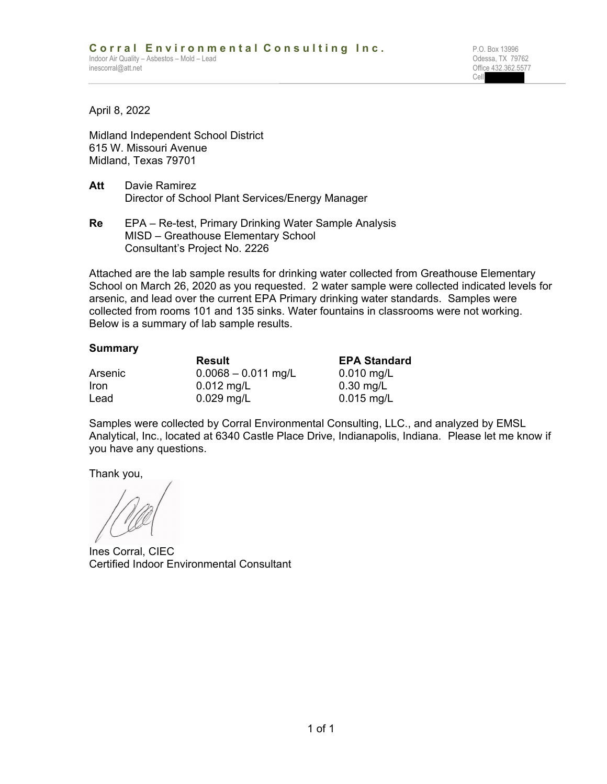**Cell** Service Contract of the Cell Service Contract of the Cell Service Contract of the Cell Service Contract of the Cell Service Contract of the Cell Service Contract of the Cell Service Contract of the Cell Service Cont

April 8, 2022

Midland Independent School District 615 W. Missouri Avenue Midland, Texas 79701

- **Att** Davie Ramirez Director of School Plant Services/Energy Manager
- **Re** EPA Re-test, Primary Drinking Water Sample Analysis MISD – Greathouse Elementary School Consultant's Project No. 2226

Attached are the lab sample results for drinking water collected from Greathouse Elementary School on March 26, 2020 as you requested. 2 water sample were collected indicated levels for arsenic, and lead over the current EPA Primary drinking water standards. Samples were collected from rooms 101 and 135 sinks. Water fountains in classrooms were not working. Below is a summary of lab sample results.

## **Summary**

|         | <b>Result</b>         | <b>EPA Standard</b> |  |  |  |
|---------|-----------------------|---------------------|--|--|--|
| Arsenic | $0.0068 - 0.011$ mg/L | $0.010$ mg/L        |  |  |  |
| Iron    | $0.012 \text{ mg/L}$  | $0.30$ mg/L         |  |  |  |
| Lead    | $0.029$ mg/L          | $0.015$ mg/L        |  |  |  |

Samples were collected by Corral Environmental Consulting, LLC., and analyzed by EMSL Analytical, Inc., located at 6340 Castle Place Drive, Indianapolis, Indiana. Please let me know if you have any questions.

Thank you,

Ines Corral, CIEC Certified Indoor Environmental Consultant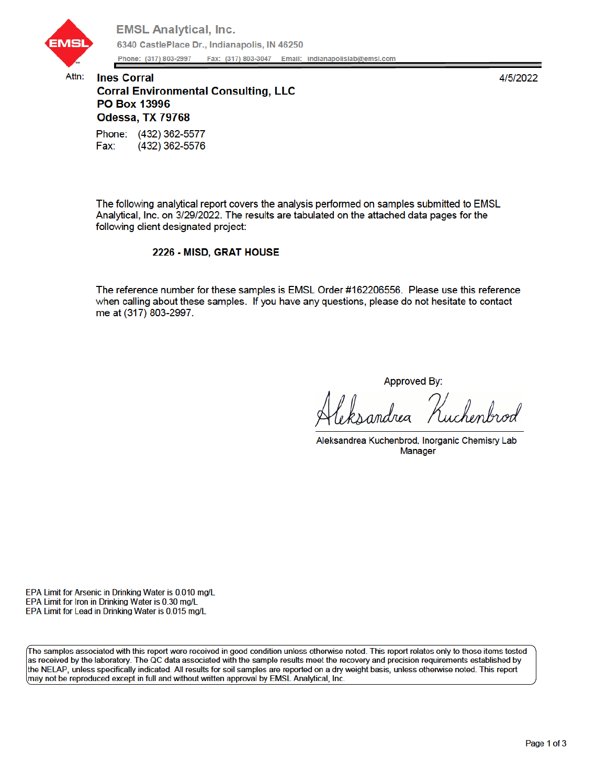

Attn:

4/5/2022

## **Ines Corral Corral Environmental Consulting, LLC** PO Box 13996 Odessa, TX 79768 Phone: (432) 362-5577

Fax: (432) 362-5576

The following analytical report covers the analysis performed on samples submitted to EMSL Analytical, Inc. on 3/29/2022. The results are tabulated on the attached data pages for the following client designated project:

## 2226 - MISD, GRAT HOUSE

The reference number for these samples is EMSL Order #162206556. Please use this reference when calling about these samples. If you have any questions, please do not hesitate to contact me at (317) 803-2997.

Approved By:

Aleksandrea Kuchenbrod, Inorganic Chemisry Lab **Manager** 

EPA Limit for Arsenic in Drinking Water is 0.010 mg/L EPA Limit for Iron in Drinking Water is 0.30 mg/L EPA Limit for Lead in Drinking Water is 0.015 mg/L

The samples associated with this report were received in good condition unless otherwise noted. This report relates only to those items tested as received by the laboratory. The QC data associated with the sample results meet the recovery and precision requirements established by the NELAP, unless specifically indicated. All results for soil samples are reported on a dry weight basis, unless otherwise noted. This report may not be reproduced except in full and without written approval by EMSL Analytical, Inc.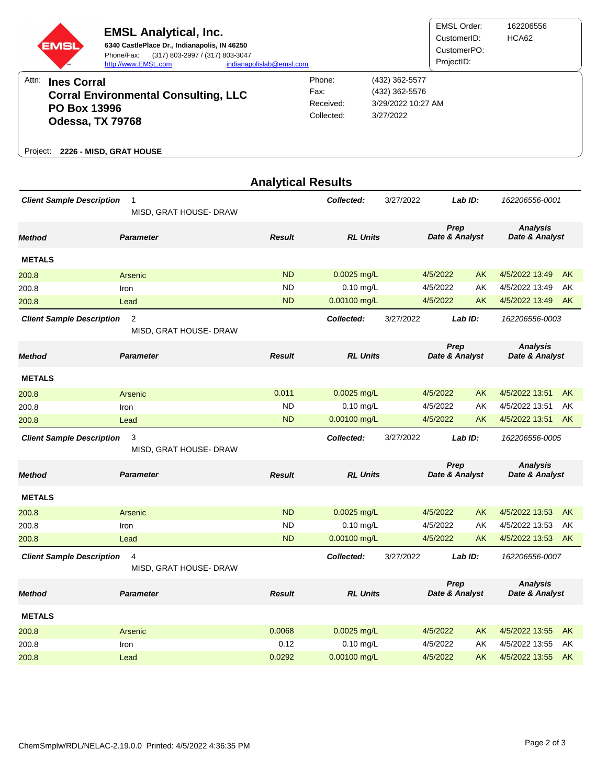| <b>EMSL</b>                                                                            | <b>SM</b> | <b>EMSL Analytical, Inc.</b><br>Phone/Fax:<br>http://www.EMSL.com | 6340 CastlePlace Dr., Indianapolis, IN 46250<br>(317) 803-2997 / (317) 803-3047<br>indianapolislab@emsl.com |            |                    | EMSL Order:<br>CustomerID:<br>CustomerPO:<br>ProjectID: | 162206556<br>HCA62 |
|----------------------------------------------------------------------------------------|-----------|-------------------------------------------------------------------|-------------------------------------------------------------------------------------------------------------|------------|--------------------|---------------------------------------------------------|--------------------|
| Attn:<br><b>Ines Corral</b>                                                            |           |                                                                   |                                                                                                             | Phone:     | (432) 362-5577     |                                                         |                    |
| <b>Corral Environmental Consulting, LLC</b><br><b>PO Box 13996</b><br>Odessa, TX 79768 |           |                                                                   |                                                                                                             | Fax:       | (432) 362-5576     |                                                         |                    |
|                                                                                        |           |                                                                   |                                                                                                             | Received:  | 3/29/2022 10:27 AM |                                                         |                    |
|                                                                                        |           |                                                                   |                                                                                                             | Collected: | 3/27/2022          |                                                         |                    |
| Project:                                                                               |           | 2226 - MISD, GRAT HOUSE                                           |                                                                                                             |            |                    |                                                         |                    |

|                                                                 |                                          | <b>Analytical Results</b> |                         |           |                        |           |                                   |           |
|-----------------------------------------------------------------|------------------------------------------|---------------------------|-------------------------|-----------|------------------------|-----------|-----------------------------------|-----------|
| <b>Client Sample Description</b>                                | $\mathbf{1}$<br>MISD, GRAT HOUSE- DRAW   |                           | Collected:              | 3/27/2022 |                        | Lab ID:   | 162206556-0001                    |           |
| <b>Method</b>                                                   | <b>Parameter</b>                         | <b>Result</b>             | <b>RL Units</b>         |           | Prep<br>Date & Analyst |           | <b>Analysis</b><br>Date & Analyst |           |
| <b>METALS</b>                                                   |                                          |                           |                         |           |                        |           |                                   |           |
| 200.8                                                           | Arsenic                                  | <b>ND</b>                 | $0.0025$ mg/L           |           | 4/5/2022<br>AK         |           | 4/5/2022 13:49                    | <b>AK</b> |
| 200.8                                                           | Iron                                     | <b>ND</b>                 | $0.10$ mg/L             |           | 4/5/2022               | AK        | 4/5/2022 13:49                    | AK        |
| 200.8                                                           | Lead                                     | <b>ND</b>                 | $0.00100$ mg/L          |           | 4/5/2022               | AK        | 4/5/2022 13:49                    | AK        |
| <b>Client Sample Description</b>                                | $\overline{2}$<br>MISD, GRAT HOUSE- DRAW |                           | Collected:              | 3/27/2022 |                        | Lab ID:   | 162206556-0003                    |           |
| <b>Method</b>                                                   | <b>Parameter</b>                         | <b>Result</b>             | <b>RL Units</b>         |           | Prep<br>Date & Analyst |           | <b>Analysis</b><br>Date & Analyst |           |
| <b>METALS</b>                                                   |                                          |                           |                         |           |                        |           |                                   |           |
| 200.8                                                           | Arsenic                                  | 0.011                     | 0.0025 mg/L             |           | 4/5/2022               | <b>AK</b> | 4/5/2022 13:51                    | <b>AK</b> |
| 200.8                                                           | Iron                                     | <b>ND</b>                 | $0.10$ mg/L             |           | 4/5/2022               | AK        | 4/5/2022 13:51                    | AK        |
| 200.8                                                           | Lead                                     | <b>ND</b>                 | 0.00100 mg/L            |           | 4/5/2022               | AK        | 4/5/2022 13:51                    | <b>AK</b> |
| <b>Client Sample Description</b><br>3<br>MISD, GRAT HOUSE- DRAW |                                          |                           | Collected:<br>3/27/2022 |           | Lab ID:                |           | 162206556-0005                    |           |
| <b>Method</b>                                                   | <b>Parameter</b>                         | <b>Result</b>             | <b>RL Units</b>         |           | Prep<br>Date & Analyst |           | <b>Analysis</b><br>Date & Analyst |           |
| <b>METALS</b>                                                   |                                          |                           |                         |           |                        |           |                                   |           |
| 200.8                                                           | Arsenic                                  | <b>ND</b>                 | $0.0025$ mg/L           |           | 4/5/2022               | <b>AK</b> | 4/5/2022 13:53                    | <b>AK</b> |
| 200.8                                                           | Iron                                     | ND                        | $0.10$ mg/L             |           | 4/5/2022               | AΚ        | 4/5/2022 13:53                    | AK        |
| 200.8                                                           | Lead                                     | <b>ND</b>                 | $0.00100$ mg/L          |           | 4/5/2022               | AK        | 4/5/2022 13:53                    | AK        |
| <b>Client Sample Description</b>                                | 4<br>MISD, GRAT HOUSE- DRAW              |                           | Collected:              | 3/27/2022 |                        | Lab ID:   | 162206556-0007                    |           |
| <b>Method</b>                                                   | <b>Parameter</b>                         | <b>Result</b>             | <b>RL Units</b>         |           | Prep<br>Date & Analyst |           | <b>Analysis</b><br>Date & Analyst |           |
| <b>METALS</b>                                                   |                                          |                           |                         |           |                        |           |                                   |           |
| 200.8                                                           | Arsenic                                  | 0.0068                    | $0.0025$ mg/L           |           | 4/5/2022               | <b>AK</b> | 4/5/2022 13:55                    | <b>AK</b> |
| 200.8                                                           | Iron                                     | 0.12                      | $0.10$ mg/L             |           | 4/5/2022               | AK        | 4/5/2022 13:55                    | AK        |
| 200.8                                                           | Lead                                     | 0.0292                    | 0.00100 mg/L            |           | 4/5/2022               | AK        | 4/5/2022 13:55                    | AK        |
|                                                                 |                                          |                           |                         |           |                        |           |                                   |           |